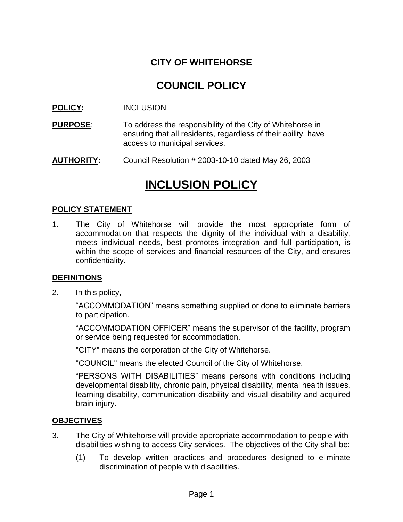### **CITY OF WHITEHORSE**

## **COUNCIL POLICY**

**POLICY:** INCLUSION

- **PURPOSE:** To address the responsibility of the City of Whitehorse in ensuring that all residents, regardless of their ability, have access to municipal services.
- **AUTHORITY:** Council Resolution # 2003-10-10 dated May 26, 2003

# **INCLUSION POLICY**

#### **POLICY STATEMENT**

1. The City of Whitehorse will provide the most appropriate form of accommodation that respects the dignity of the individual with a disability, meets individual needs, best promotes integration and full participation, is within the scope of services and financial resources of the City, and ensures confidentiality.

#### **DEFINITIONS**

2. In this policy,

"ACCOMMODATION" means something supplied or done to eliminate barriers to participation.

"ACCOMMODATION OFFICER" means the supervisor of the facility, program or service being requested for accommodation.

"CITY" means the corporation of the City of Whitehorse.

"COUNCIL" means the elected Council of the City of Whitehorse.

"PERSONS WITH DISABILITIES" means persons with conditions including developmental disability, chronic pain, physical disability, mental health issues, learning disability, communication disability and visual disability and acquired brain injury.

#### **OBJECTIVES**

- 3. The City of Whitehorse will provide appropriate accommodation to people with disabilities wishing to access City services. The objectives of the City shall be:
	- (1) To develop written practices and procedures designed to eliminate discrimination of people with disabilities.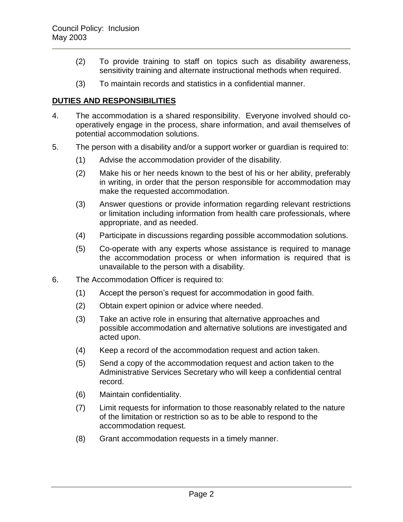- (2) To provide training to staff on topics such as disability awareness, sensitivity training and alternate instructional methods when required.
- (3) To maintain records and statistics in a confidential manner.

#### **DUTIES AND RESPONSIBILITIES**

- 4. The accommodation is a shared responsibility. Everyone involved should cooperatively engage in the process, share information, and avail themselves of potential accommodation solutions.
- 5. The person with a disability and/or a support worker or guardian is required to:
	- (1) Advise the accommodation provider of the disability.
	- (2) Make his or her needs known to the best of his or her ability, preferably in writing, in order that the person responsible for accommodation may make the requested accommodation.
	- (3) Answer questions or provide information regarding relevant restrictions or limitation including information from health care professionals, where appropriate, and as needed.
	- (4) Participate in discussions regarding possible accommodation solutions.
	- (5) Co-operate with any experts whose assistance is required to manage the accommodation process or when information is required that is unavailable to the person with a disability.
- 6. The Accommodation Officer is required to:
	- (1) Accept the person's request for accommodation in good faith.
	- (2) Obtain expert opinion or advice where needed.
	- (3) Take an active role in ensuring that alternative approaches and possible accommodation and alternative solutions are investigated and acted upon.
	- (4) Keep a record of the accommodation request and action taken.
	- (5) Send a copy of the accommodation request and action taken to the Administrative Services Secretary who will keep a confidential central record.
	- (6) Maintain confidentiality.
	- (7) Limit requests for information to those reasonably related to the nature of the limitation or restriction so as to be able to respond to the accommodation request.
	- (8) Grant accommodation requests in a timely manner.